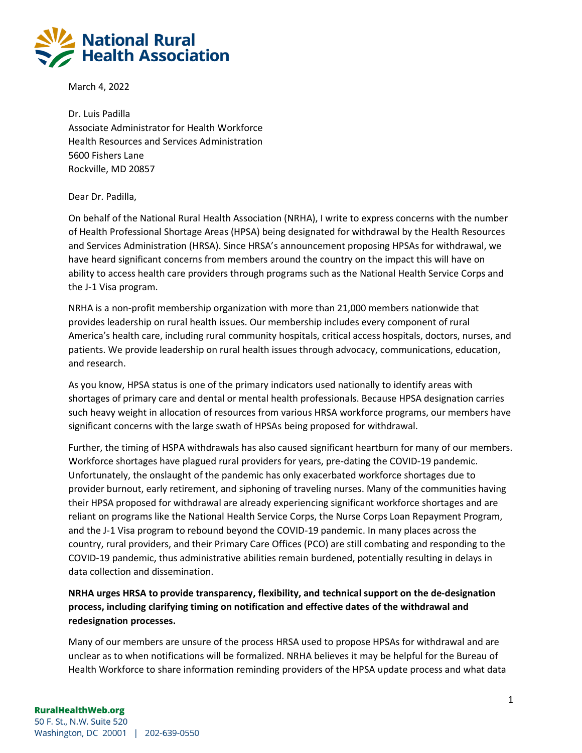

March 4, 2022

Dr. Luis Padilla Associate Administrator for Health Workforce Health Resources and Services Administration 5600 Fishers Lane Rockville, MD 20857

## Dear Dr. Padilla,

On behalf of the National Rural Health Association (NRHA), I write to express concerns with the number of Health Professional Shortage Areas (HPSA) being designated for withdrawal by the Health Resources and Services Administration (HRSA). Since HRSA's announcement proposing HPSAs for withdrawal, we have heard significant concerns from members around the country on the impact this will have on ability to access health care providers through programs such as the National Health Service Corps and the J-1 Visa program.

NRHA is a non-profit membership organization with more than 21,000 members nationwide that provides leadership on rural health issues. Our membership includes every component of rural America's health care, including rural community hospitals, critical access hospitals, doctors, nurses, and patients. We provide leadership on rural health issues through advocacy, communications, education, and research.

As you know, HPSA status is one of the primary indicators used nationally to identify areas with shortages of primary care and dental or mental health professionals. Because HPSA designation carries such heavy weight in allocation of resources from various HRSA workforce programs, our members have significant concerns with the large swath of HPSAs being proposed for withdrawal.

Further, the timing of HSPA withdrawals has also caused significant heartburn for many of our members. Workforce shortages have plagued rural providers for years, pre-dating the COVID-19 pandemic. Unfortunately, the onslaught of the pandemic has only exacerbated workforce shortages due to provider burnout, early retirement, and siphoning of traveling nurses. Many of the communities having their HPSA proposed for withdrawal are already experiencing significant workforce shortages and are reliant on programs like the National Health Service Corps, the Nurse Corps Loan Repayment Program, and the J-1 Visa program to rebound beyond the COVID-19 pandemic. In many places across the country, rural providers, and their Primary Care Offices (PCO) are still combating and responding to the COVID-19 pandemic, thus administrative abilities remain burdened, potentially resulting in delays in data collection and dissemination.

## **NRHA urges HRSA to provide transparency, flexibility, and technical support on the de-designation process, including clarifying timing on notification and effective dates of the withdrawal and redesignation processes.**

Many of our members are unsure of the process HRSA used to propose HPSAs for withdrawal and are unclear as to when notifications will be formalized. NRHA believes it may be helpful for the Bureau of Health Workforce to share information reminding providers of the HPSA update process and what data

## **RuralHealthWeb.org**